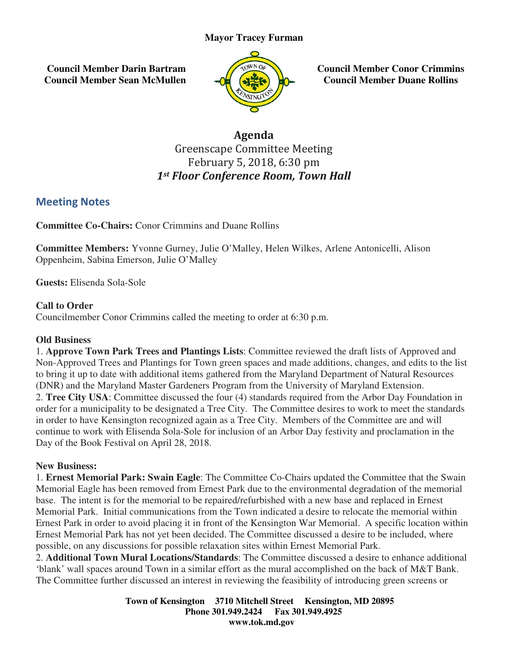# **Mayor Tracey Furman**

 **Council Member Darin Bartram Council Member Sean McMullen**



**Council Member Conor Crimmins Council Member Duane Rollins**

# Greenscape Committee Meeting Committee MeetingFebruary 5, 2018, 6:30 pm 1st Floor Conference Room, Town Hall Agenda

# Meeting Notes

**Committee Co-Chairs:** Conor Crimmins and Duane Rollins

Committee Members: Yvonne Gurney, Julie O'Malley, Helen Wilkes, Arlene Antonicelli, Alison Oppenheim, Sabina Emerson, Julie O'Malley

**Guests:** Elisenda Sola-Sole

#### **Call to Order**

Councilmember Conor Crimmins called the meeting to order at 6:30 p.m.

## **Old Business**

1. **Approve Town Park Trees and Plantings Lists** : Committee reviewed the draft lists of Approved and Non-Approved Trees and Plantings for Town green spaces and made additions, changes, and edits to the list to bring it up to date with additional items gathered from the Maryland Department of Natural Resources (DNR) and the Maryland Master Gardeners Program from the University of Maryland Extension. 2. **Tree City USA**: Committee discussed the four (4) standards required from the Arbor Day Foundation in 2. **Tree City USA**: Committee discussed the four (4) standards required from the Arbor Day Foundation in order for a municipality to be designated a Tree City. The Committee desires to work to meet the standards in order to have Kensington recognized again as a Tree City. Members of the Committee are and will continue to work with Elisenda Sola-Sole for inclusion of an Arbor Day festivity and proclamation in the continue to work with Elisenda Sola-Sole for<br>Day of the Book Festival on April 28, 2018. proved Trees and Plantings for Town green spaces and made additions, changes, and edits to the list<br>it up to date with additional items gathered from the Maryland Department of Natural Resources<br>ind the Maryland Master Gar ey, Julie O'Malley, Helen Wilkes, Arlene Antonicelli, Alison<br>
YMalley<br>
Iled the meeting to order at 6:30 p.m.<br> **Plantings Lists**: Committee reviewed the draft lists of Approved and<br>
or Town green spaces and made additions, **Council Member Conor Crin**<br> **Council Member Duane Ro**<br> **Council Member Duane Ro**<br> **Row WINT Hall**<br> **Council Member Duane Ro**<br> **Council Member Discurse**<br> **Round**<br> **Council Actual Resource and dist to<br>
the parament of Natur** 

#### **New Business:**

1. **Ernest Memorial Park: Swain Eagle** : The Committee Co-Chairs updated the Committee that the Swain Memorial Eagle has been removed from Ernest Park due to the environmental degradation of the memorial base. The intent is for the memorial to be repaired/refurbished with a new base and replaced in Ernest Memorial Park. Initial communications from the Town indicated a desire to relocate the memorial within base. The intent is for the memorial to be repaired/refurbished with a new base and replaced in Ernest<br>Memorial Park. Initial communications from the Town indicated a desire to relocate the memorial within<br>Ernest Park in o Ernest Memorial Park has not yet been decided. The Committee discussed a desire to be included, where Ernest Memorial Park has not yet been decided. The Committee discussed a desire to be possible, on any discussions for possible relaxation sites within Ernest Memorial Park.

2. Additional Town Mural Locations/Standards: The Committee discussed a desire to enhance additional 'blank' wall spaces around Town in a similar effort as the mural accomplished on the back of M&T Bank. The Committee further discussed an interest in reviewing the feasibility of introducing green screens or

> **Town of Kensington Kensington 3710 Mitchell Street Kensington, MD 20895 Phone 301.949.2424 301.949.2424 Fax 301.949.4925 www.tok.md.gov**